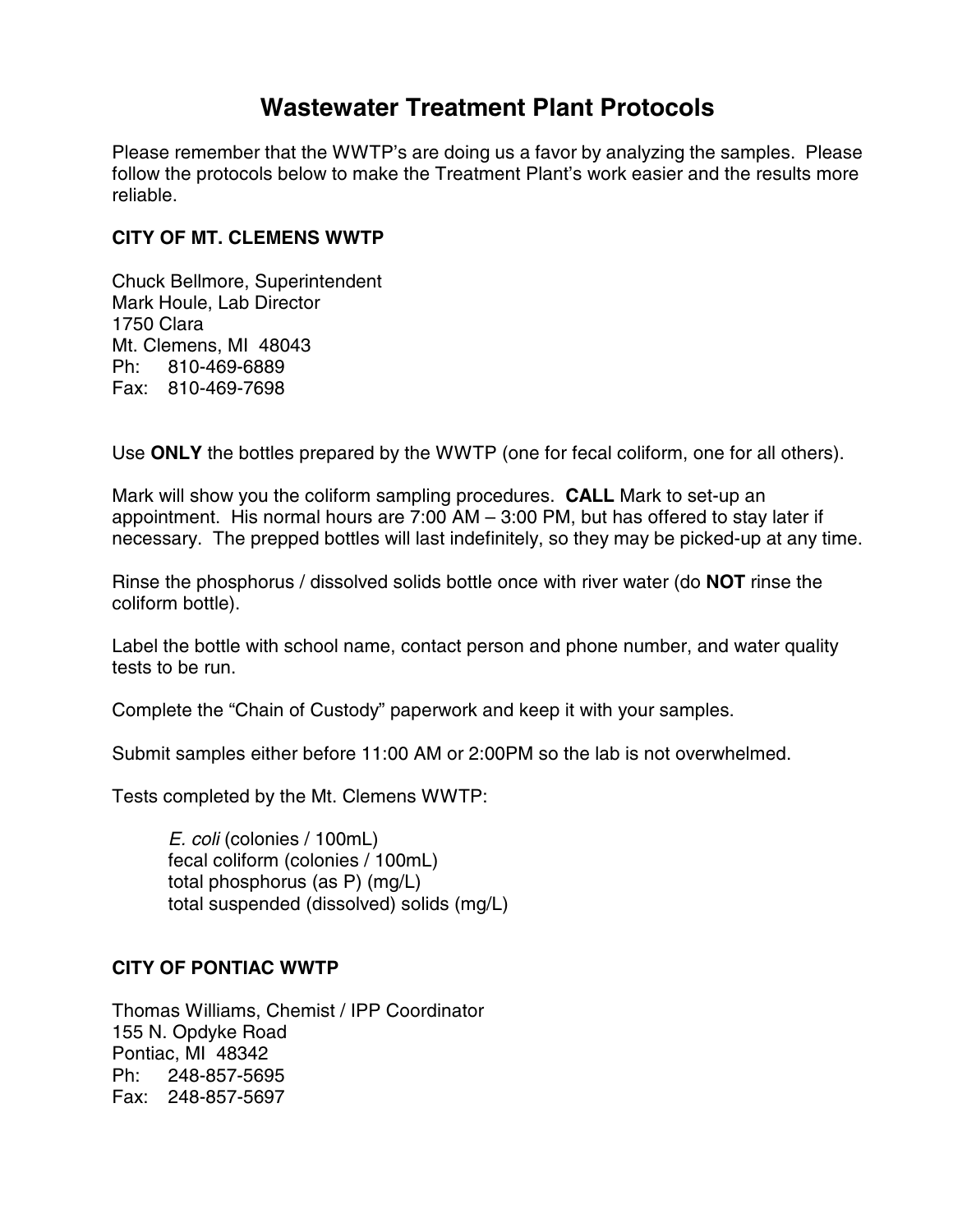# **Wastewater Treatment Plant Protocols**

Please remember that the WWTP's are doing us a favor by analyzing the samples. Please follow the protocols below to make the Treatment Plant's work easier and the results more reliable.

# **CITY OF MT. CLEMENS WWTP**

Chuck Bellmore, Superintendent Mark Houle, Lab Director 1750 Clara Mt. Clemens, MI 48043 Ph: 810-469-6889 Fax: 810-469-7698

Use **ONLY** the bottles prepared by the WWTP (one for fecal coliform, one for all others).

Mark will show you the coliform sampling procedures. **CALL** Mark to set-up an appointment. His normal hours are 7:00 AM – 3:00 PM, but has offered to stay later if necessary. The prepped bottles will last indefinitely, so they may be picked-up at any time.

Rinse the phosphorus / dissolved solids bottle once with river water (do **NOT** rinse the coliform bottle).

Label the bottle with school name, contact person and phone number, and water quality tests to be run.

Complete the "Chain of Custody" paperwork and keep it with your samples.

Submit samples either before 11:00 AM or 2:00PM so the lab is not overwhelmed.

Tests completed by the Mt. Clemens WWTP:

*E. coli* (colonies / 100mL) fecal coliform (colonies / 100mL) total phosphorus (as P) (mg/L) total suspended (dissolved) solids (mg/L)

# **CITY OF PONTIAC WWTP**

Thomas Williams, Chemist / IPP Coordinator 155 N. Opdyke Road Pontiac, MI 48342 Ph: 248-857-5695 Fax: 248-857-5697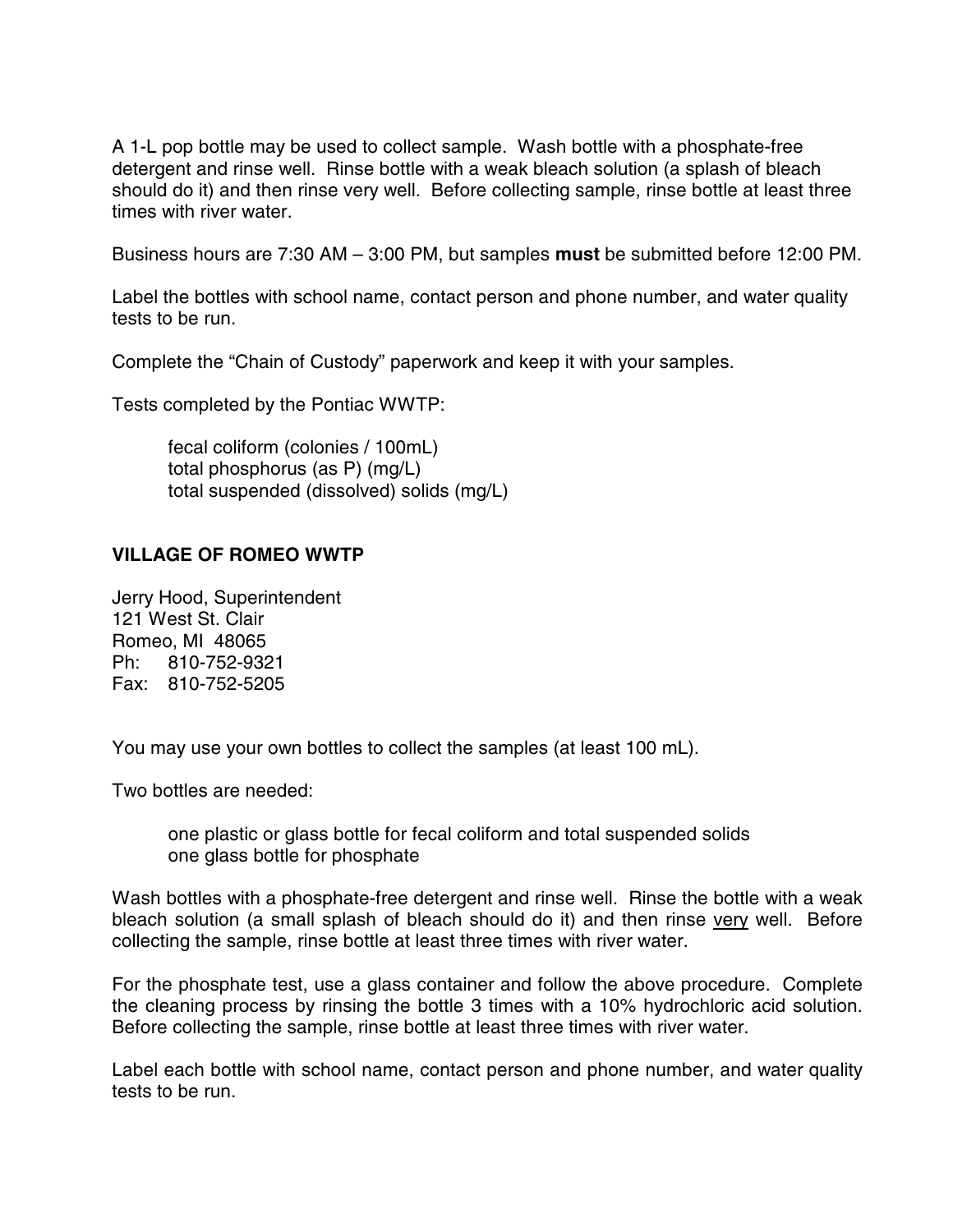A 1-L pop bottle may be used to collect sample. Wash bottle with a phosphate-free detergent and rinse well. Rinse bottle with a weak bleach solution (a splash of bleach should do it) and then rinse very well. Before collecting sample, rinse bottle at least three times with river water.

Business hours are 7:30 AM – 3:00 PM, but samples **must** be submitted before 12:00 PM.

Label the bottles with school name, contact person and phone number, and water quality tests to be run.

Complete the "Chain of Custody" paperwork and keep it with your samples.

Tests completed by the Pontiac WWTP:

 fecal coliform (colonies / 100mL) total phosphorus (as P) (mg/L) total suspended (dissolved) solids (mg/L)

# **VILLAGE OF ROMEO WWTP**

Jerry Hood, Superintendent 121 West St. Clair Romeo, MI 48065 Ph: 810-752-9321 Fax: 810-752-5205

You may use your own bottles to collect the samples (at least 100 mL).

Two bottles are needed:

one plastic or glass bottle for fecal coliform and total suspended solids one glass bottle for phosphate

Wash bottles with a phosphate-free detergent and rinse well. Rinse the bottle with a weak bleach solution (a small splash of bleach should do it) and then rinse very well. Before collecting the sample, rinse bottle at least three times with river water.

For the phosphate test, use a glass container and follow the above procedure. Complete the cleaning process by rinsing the bottle 3 times with a 10% hydrochloric acid solution. Before collecting the sample, rinse bottle at least three times with river water.

Label each bottle with school name, contact person and phone number, and water quality tests to be run.